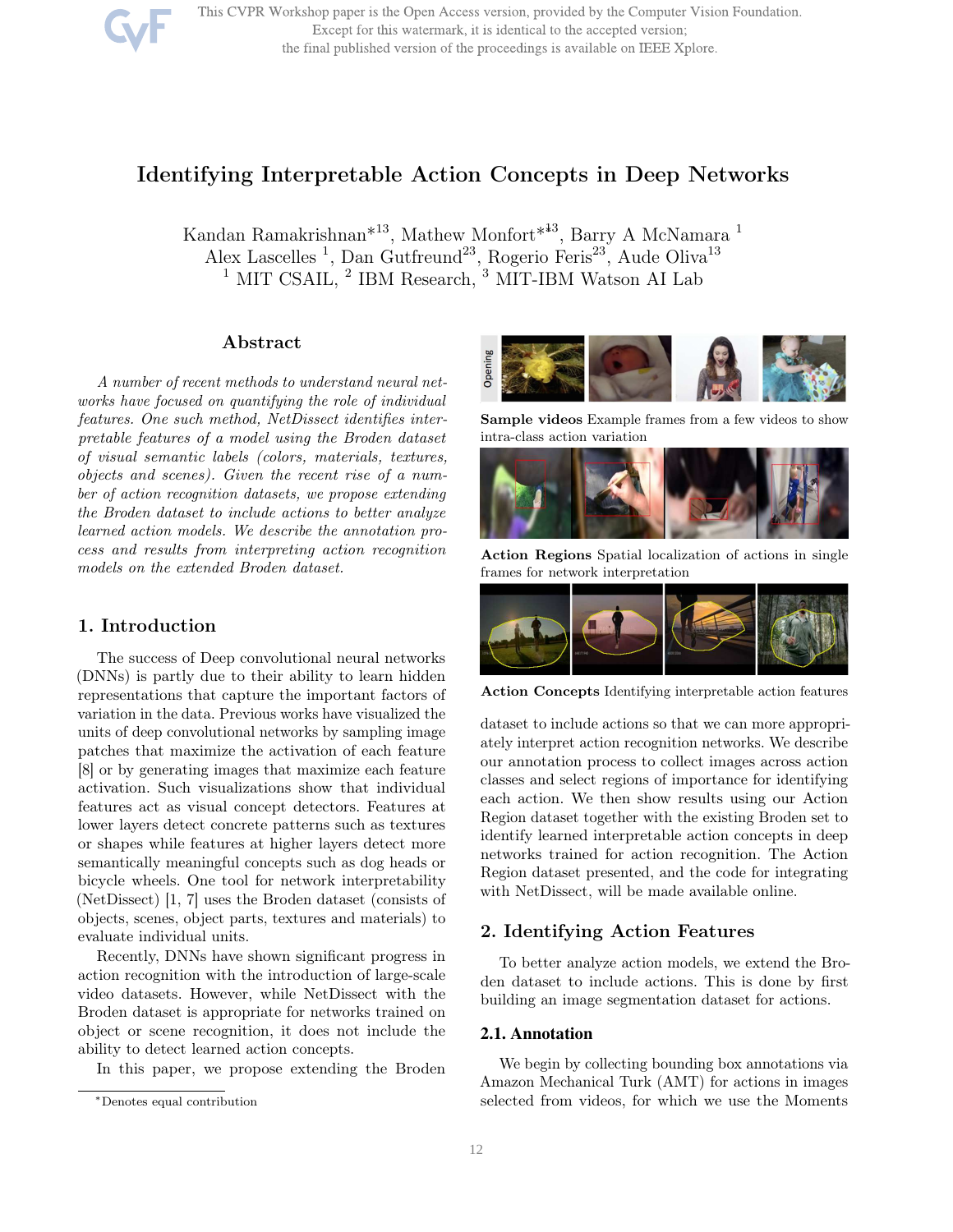This CVPR Workshop paper is the Open Access version, provided by the Computer Vision Foundation. Except for this watermark, it is identical to the accepted version; the final published version of the proceedings is available on IEEE Xplore.

# Identifying Interpretable Action Concepts in Deep Networks

Kandan Ramakrishnan\*<sup>13</sup>, Mathew Monfort\*<sup>∗</sup><sup>13</sup>, Barry A McNamara <sup>1</sup> Alex Lascelles<sup>1</sup>, Dan Gutfreund<sup>23</sup>, Rogerio Feris<sup>23</sup>, Aude Oliva<sup>13</sup>  $^1$  MIT CSAIL,  $^2$  IBM Research,  $^3$  MIT-IBM Watson AI Lab

# Abstract

A number of recent methods to understand neural networks have focused on quantifying the role of individual features. One such method, NetDissect identifies interpretable features of a model using the Broden dataset of visual semantic labels (colors, materials, textures, objects and scenes). Given the recent rise of a number of action recognition datasets, we propose extending the Broden dataset to include actions to better analyze learned action models. We describe the annotation process and results from interpreting action recognition models on the extended Broden dataset.

# 1. Introduction

The success of Deep convolutional neural networks (DNNs) is partly due to their ability to learn hidden representations that capture the important factors of variation in the data. Previous works have visualized the units of deep convolutional networks by sampling image patches that maximize the activation of each feature [8] or by generating images that maximize each feature activation. Such visualizations show that individual features act as visual concept detectors. Features at lower layers detect concrete patterns such as textures or shapes while features at higher layers detect more semantically meaningful concepts such as dog heads or bicycle wheels. One tool for network interpretability (NetDissect) [1, 7] uses the Broden dataset (consists of objects, scenes, object parts, textures and materials) to evaluate individual units.

Recently, DNNs have shown significant progress in action recognition with the introduction of large-scale video datasets. However, while NetDissect with the Broden dataset is appropriate for networks trained on object or scene recognition, it does not include the ability to detect learned action concepts.

In this paper, we propose extending the Broden



Sample videos Example frames from a few videos to show intra-class action variation



Action Regions Spatial localization of actions in single frames for network interpretation



Action Concepts Identifying interpretable action features

dataset to include actions so that we can more appropriately interpret action recognition networks. We describe our annotation process to collect images across action classes and select regions of importance for identifying each action. We then show results using our Action Region dataset together with the existing Broden set to identify learned interpretable action concepts in deep networks trained for action recognition. The Action Region dataset presented, and the code for integrating with NetDissect, will be made available online.

# 2. Identifying Action Features

To better analyze action models, we extend the Broden dataset to include actions. This is done by first building an image segmentation dataset for actions.

#### 2.1. Annotation

We begin by collecting bounding box annotations via Amazon Mechanical Turk (AMT) for actions in images selected from videos, for which we use the Moments

<sup>∗</sup>Denotes equal contribution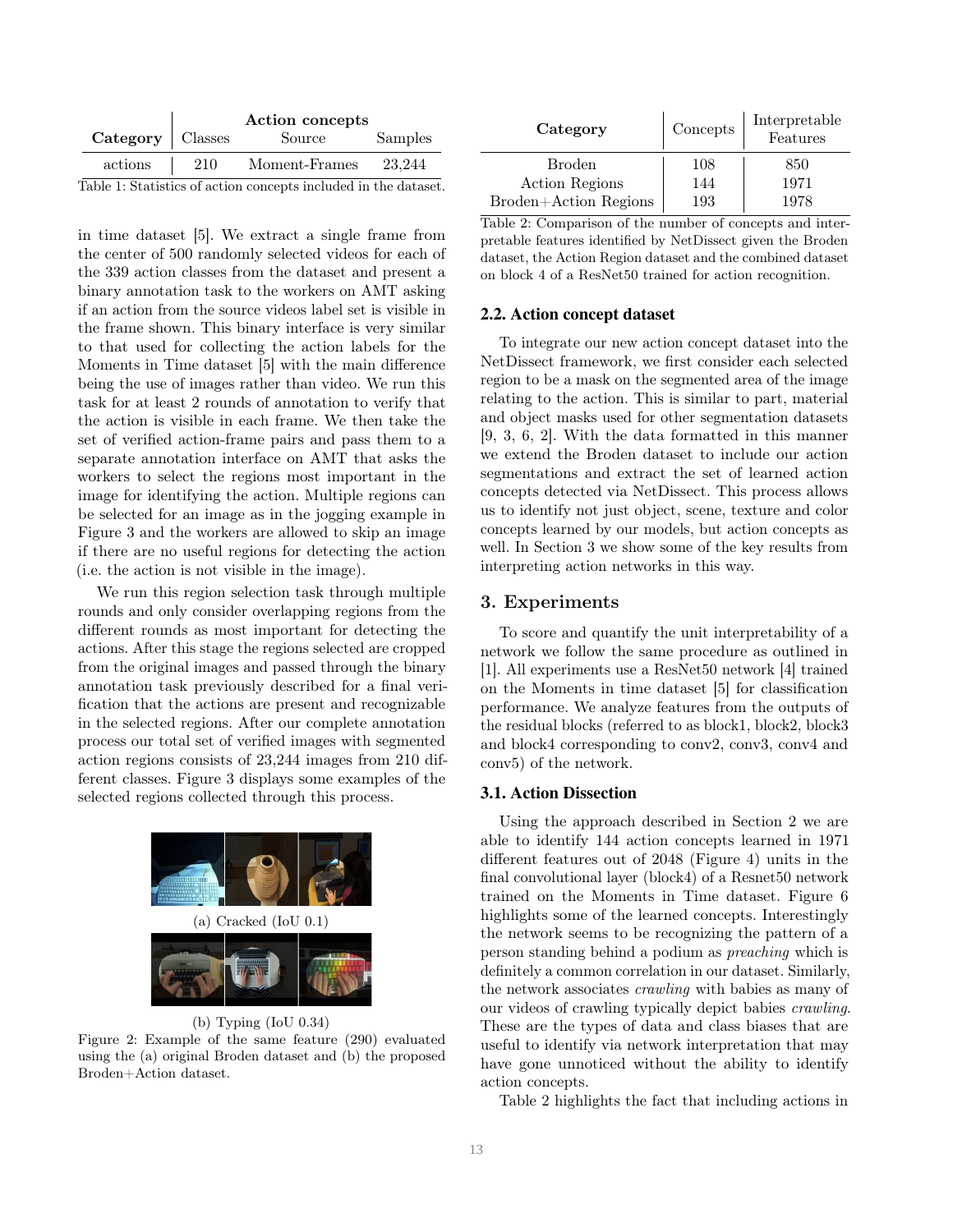|                    | Action concepts |               |         |  |  |
|--------------------|-----------------|---------------|---------|--|--|
| Category   Classes |                 | Source        | Samples |  |  |
| actions            | 210             | Moment-Frames | 23.244  |  |  |
|                    |                 |               |         |  |  |

Table 1: Statistics of action concepts included in the dataset.

in time dataset [5]. We extract a single frame from the center of 500 randomly selected videos for each of the 339 action classes from the dataset and present a binary annotation task to the workers on AMT asking if an action from the source videos label set is visible in the frame shown. This binary interface is very similar to that used for collecting the action labels for the Moments in Time dataset [5] with the main difference being the use of images rather than video. We run this task for at least 2 rounds of annotation to verify that the action is visible in each frame. We then take the set of verified action-frame pairs and pass them to a separate annotation interface on AMT that asks the workers to select the regions most important in the image for identifying the action. Multiple regions can be selected for an image as in the jogging example in Figure 3 and the workers are allowed to skip an image if there are no useful regions for detecting the action (i.e. the action is not visible in the image).

We run this region selection task through multiple rounds and only consider overlapping regions from the different rounds as most important for detecting the actions. After this stage the regions selected are cropped from the original images and passed through the binary annotation task previously described for a final verification that the actions are present and recognizable in the selected regions. After our complete annotation process our total set of verified images with segmented action regions consists of 23,244 images from 210 different classes. Figure 3 displays some examples of the selected regions collected through this process.



## (b) Typing (IoU 0.34)

Figure 2: Example of the same feature (290) evaluated using the (a) original Broden dataset and (b) the proposed Broden+Action dataset.

| Category              | Concepts | Interpretable<br>Features |  |
|-----------------------|----------|---------------------------|--|
| <b>Broden</b>         | 108      | 850                       |  |
| Action Regions        | 144      | 1971                      |  |
| Broden+Action Regions | 193      | 1978                      |  |

Table 2: Comparison of the number of concepts and interpretable features identified by NetDissect given the Broden dataset, the Action Region dataset and the combined dataset on block 4 of a ResNet50 trained for action recognition.

#### 2.2. Action concept dataset

To integrate our new action concept dataset into the NetDissect framework, we first consider each selected region to be a mask on the segmented area of the image relating to the action. This is similar to part, material and object masks used for other segmentation datasets [9, 3, 6, 2]. With the data formatted in this manner we extend the Broden dataset to include our action segmentations and extract the set of learned action concepts detected via NetDissect. This process allows us to identify not just object, scene, texture and color concepts learned by our models, but action concepts as well. In Section 3 we show some of the key results from interpreting action networks in this way.

## 3. Experiments

To score and quantify the unit interpretability of a network we follow the same procedure as outlined in [1]. All experiments use a ResNet50 network [4] trained on the Moments in time dataset [5] for classification performance. We analyze features from the outputs of the residual blocks (referred to as block1, block2, block3 and block4 corresponding to conv2, conv3, conv4 and conv5) of the network.

## 3.1. Action Dissection

Using the approach described in Section 2 we are able to identify 144 action concepts learned in 1971 different features out of 2048 (Figure 4) units in the final convolutional layer (block4) of a Resnet50 network trained on the Moments in Time dataset. Figure 6 highlights some of the learned concepts. Interestingly the network seems to be recognizing the pattern of a person standing behind a podium as preaching which is definitely a common correlation in our dataset. Similarly, the network associates crawling with babies as many of our videos of crawling typically depict babies crawling. These are the types of data and class biases that are useful to identify via network interpretation that may have gone unnoticed without the ability to identify action concepts.

Table 2 highlights the fact that including actions in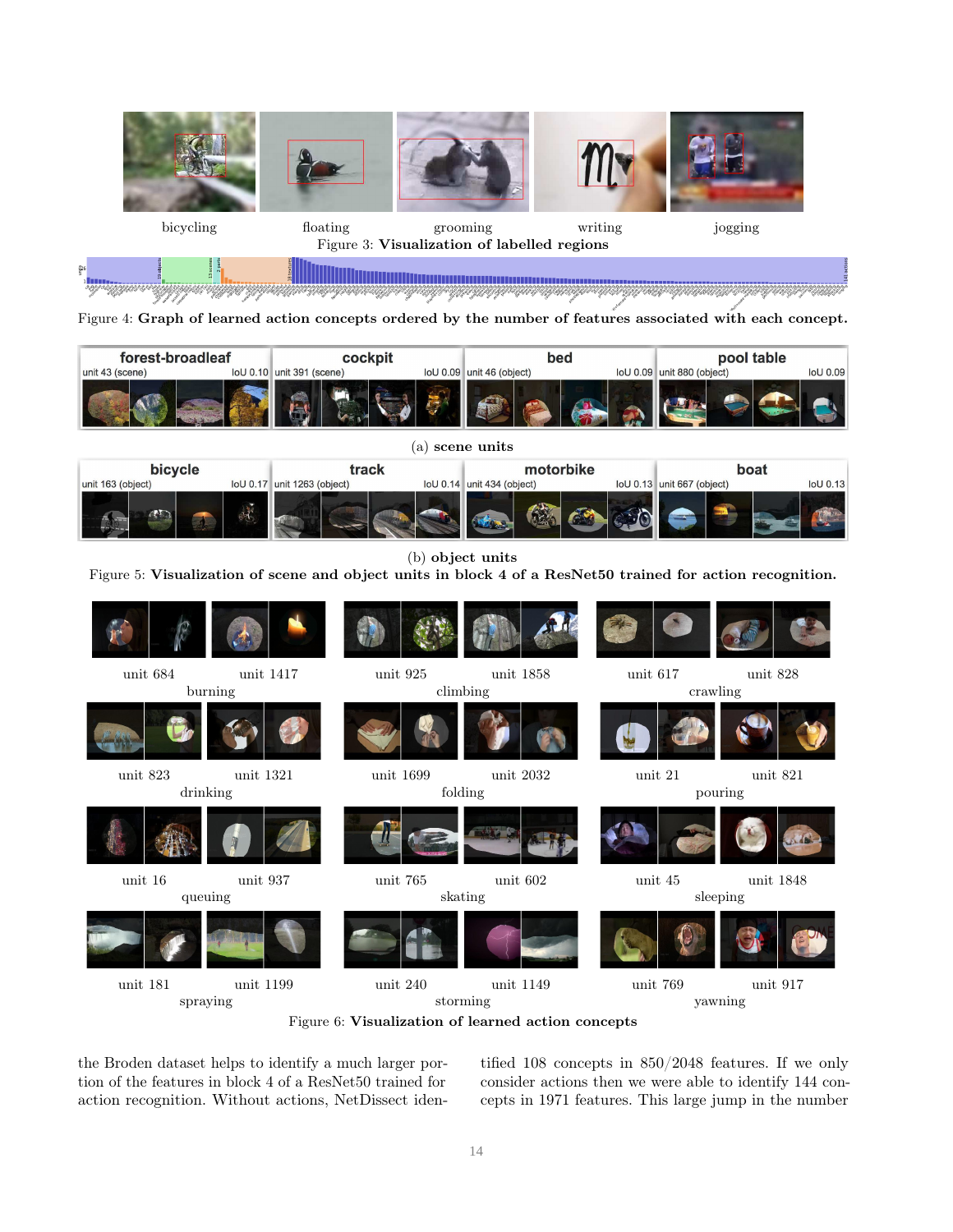



Figure 4: Graph of learned action concepts ordered by the number of features associated with each concept.

| forest-broadleaf | cockpit                   |  | bed                       |  | pool table                   |                 |
|------------------|---------------------------|--|---------------------------|--|------------------------------|-----------------|
| unit 43 (scene)  | loU 0.10 unit 391 (scene) |  | loU 0.09 unit 46 (object) |  | $IoU 0.09$ unit 880 (object) | <b>IoU 0.09</b> |
|                  |                           |  |                           |  |                              |                 |

(a) scene units bicycle track motorbike boat unit 163 (object) loU 0.17 unit 1263 (object) loU 0.14 unit 434 (object) loU 0.13 unit 667 (object)  $IoU$  0.13

(b) object units

Figure 5: Visualization of scene and object units in block 4 of a ResNet50 trained for action recognition.



Figure 6: Visualization of learned action concepts

the Broden dataset helps to identify a much larger portion of the features in block 4 of a ResNet50 trained for action recognition. Without actions, NetDissect identified 108 concepts in 850/2048 features. If we only consider actions then we were able to identify 144 concepts in 1971 features. This large jump in the number